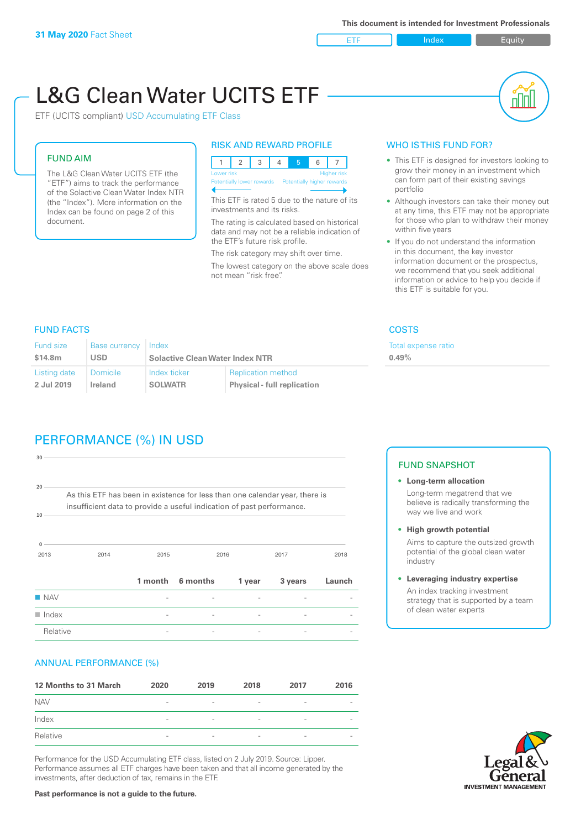ETF Index Builty

# L&G Clean Water UCITS ETF

ETF (UCITS compliant) USD Accumulating ETF Class

### FUND AIM

The L&G Clean Water UCITS ETF (the "ETF") aims to track the performance of the Solactive Clean Water Index NTR (the "Index"). More information on the Index can be found on page 2 of this document.

#### RISK AND REWARD PROFILE

| Lower risk<br><b>Higher risk</b>                     |  |  |  |  |  |  |  |  |
|------------------------------------------------------|--|--|--|--|--|--|--|--|
| Potentially lower rewards Potentially higher rewards |  |  |  |  |  |  |  |  |
|                                                      |  |  |  |  |  |  |  |  |

This ETF is rated 5 due to the nature of its investments and its risks.

The rating is calculated based on historical data and may not be a reliable indication of the ETF's future risk profile.

The risk category may shift over time. The lowest category on the above scale does not mean "risk free".

#### WHO IS THIS FUND FOR?

- This ETF is designed for investors looking to grow their money in an investment which can form part of their existing savings portfolio
- Although investors can take their money out at any time, this ETF may not be appropriate for those who plan to withdraw their money within five years
- If you do not understand the information in this document, the key investor information document or the prospectus, we recommend that you seek additional information or advice to help you decide if this ETF is suitable for you.

xpense ratio

### FUND FACTS COSTS

| <b>Fund size</b> | Base currency   | Index                                  |                                    | Total e |
|------------------|-----------------|----------------------------------------|------------------------------------|---------|
| \$14.8m          | USD             | <b>Solactive Clean Water Index NTR</b> |                                    | 0.49%   |
| Listing date     | <b>Domicile</b> | Index ticker                           | <b>Replication method</b>          |         |
| 2 Jul 2019       | Ireland         | <b>SOLWATR</b>                         | <b>Physical - full replication</b> |         |

# PERFORMANCE (%) IN USD

| 30                   |                                                                                                                                                      |         |          |        |         |        |
|----------------------|------------------------------------------------------------------------------------------------------------------------------------------------------|---------|----------|--------|---------|--------|
| 20<br>10             | As this ETF has been in existence for less than one calendar year, there is<br>insufficient data to provide a useful indication of past performance. |         |          |        |         |        |
| $\Omega$<br>2013     | 2014                                                                                                                                                 | 2015    |          | 2016   | 2017    | 2018   |
|                      |                                                                                                                                                      | 1 month | 6 months | 1 year | 3 years | Launch |
| $\blacksquare$ NAV   |                                                                                                                                                      |         |          |        |         |        |
| $\blacksquare$ Index |                                                                                                                                                      |         |          |        |         |        |
| Relative             |                                                                                                                                                      |         |          |        |         |        |

#### ANNUAL PERFORMANCE (%)

| 12 Months to 31 March | 2020                     | 2019                     | 2018                     | 2017                     | 2016                     |
|-----------------------|--------------------------|--------------------------|--------------------------|--------------------------|--------------------------|
| <b>NAV</b>            | $\overline{\phantom{a}}$ | $\sim$                   | $\overline{\phantom{a}}$ | $\qquad \qquad$          | $\overline{\phantom{a}}$ |
| Index                 | $\qquad \qquad$          | $\qquad \qquad$          | $\overline{\phantom{a}}$ | $\qquad \qquad$          | $\overline{\phantom{a}}$ |
| Relative              | $\overline{\phantom{a}}$ | $\overline{\phantom{a}}$ | $\overline{\phantom{a}}$ | $\overline{\phantom{0}}$ | $\overline{\phantom{a}}$ |

Performance for the USD Accumulating ETF class, listed on 2 July 2019. Source: Lipper. Performance assumes all ETF charges have been taken and that all income generated by the investments, after deduction of tax, remains in the ETF.

#### FUND SNAPSHOT

- **• Long-term allocation** Long-term megatrend that we believe is radically transforming the way we live and work
- **• High growth potential**

Aims to capture the outsized growth potential of the global clean water industry

**• Leveraging industry expertise**

An index tracking investment strategy that is supported by a team of clean water experts

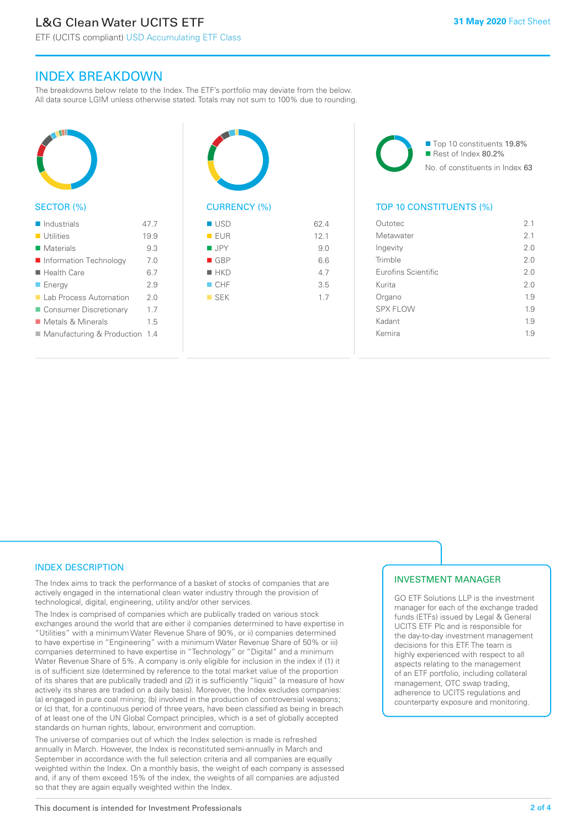ETF (UCITS compliant) USD Accumulating ETF Class

## INDEX BREAKDOWN

The breakdowns below relate to the Index. The ETF's portfolio may deviate from the below. All data source LGIM unless otherwise stated. Totals may not sum to 100% due to rounding.



#### SECTOR (%)

| $\blacksquare$ Industrials       | 47 7 |
|----------------------------------|------|
| $\blacksquare$ Utilities         | 19.9 |
| Materials                        | 9.3  |
| Information Technology           | 70   |
| $\blacksquare$ Health Care       | 6.7  |
| $\blacksquare$ Energy            | 29   |
| ■ Lab Process Automation         | 20   |
| ■ Consumer Discretionary         | 17   |
| Metals & Minerals                | 1.5  |
| ■ Manufacturing & Production 1.4 |      |
|                                  |      |



| $\blacksquare$ USD | 62.4 |
|--------------------|------|
| EUR                | 12.1 |
| $\blacksquare$ JPY | 9.0  |
| $\blacksquare$ GBP | 6.6  |
| $H$ HKD            | 4.7  |
| $\blacksquare$ CHF | 3.5  |
| $\blacksquare$ SEK | 1.7  |
|                    |      |
|                    |      |

■ Top 10 constituents 19.8% Rest of Index 80.2% No. of constituents in Index 63

#### TOP 10 CONSTITUENTS (%)

| Outotec             | 21  |
|---------------------|-----|
| Metawater           | 21  |
| Ingevity            | 20  |
| Trimble             | 20  |
| Eurofins Scientific | 2.0 |
| Kurita              | 2.0 |
| Organo              | 1.9 |
| <b>SPX FLOW</b>     | 1.9 |
| Kadant              | 1.9 |
| Kemira              | 19  |
|                     |     |

#### INDEX DESCRIPTION

The Index aims to track the performance of a basket of stocks of companies that are actively engaged in the international clean water industry through the provision of technological, digital, engineering, utility and/or other services.

The Index is comprised of companies which are publically traded on various stock exchanges around the world that are either i) companies determined to have expertise in "Utilities" with a minimum Water Revenue Share of 90%, or ii) companies determined to have expertise in "Engineering" with a minimum Water Revenue Share of 50% or iii) companies determined to have expertise in "Technology" or "Digital" and a minimum Water Revenue Share of 5%. A company is only eligible for inclusion in the index if (1) it is of sufficient size (determined by reference to the total market value of the proportion of its shares that are publically traded) and (2) it is sufficiently "liquid" (a measure of how actively its shares are traded on a daily basis). Moreover, the Index excludes companies: (a) engaged in pure coal mining; (b) involved in the production of controversial weapons; or (c) that, for a continuous period of three years, have been classified as being in breach of at least one of the UN Global Compact principles, which is a set of globally accepted standards on human rights, labour, environment and corruption.

The universe of companies out of which the Index selection is made is refreshed annually in March. However, the Index is reconstituted semi-annually in March and September in accordance with the full selection criteria and all companies are equally weighted within the Index. On a monthly basis, the weight of each company is assessed and, if any of them exceed 15% of the index, the weights of all companies are adjusted so that they are again equally weighted within the Index.

#### INVESTMENT MANAGER

GO ETF Solutions LLP is the investment manager for each of the exchange traded funds (ETFs) issued by Legal & General UCITS ETF Plc and is responsible for the day-to-day investment management decisions for this ETF. The team is highly experienced with respect to all aspects relating to the management of an ETF portfolio, including collateral management, OTC swap trading, adherence to UCITS regulations and counterparty exposure and monitoring.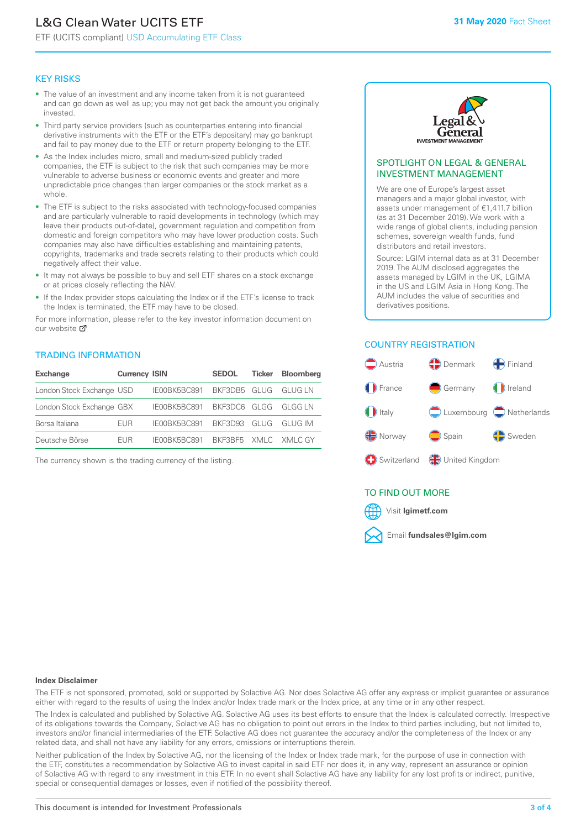# L&G Clean Water UCITS ETF

ETF (UCITS compliant) USD Accumulating ETF Class

#### KEY RISKS

- The value of an investment and any income taken from it is not guaranteed and can go down as well as up; you may not get back the amount you originally invested.
- Third party service providers (such as counterparties entering into financial derivative instruments with the ETF or the ETF's depositary) may go bankrupt and fail to pay money due to the ETF or return property belonging to the ETF.
- As the Index includes micro, small and medium-sized publicly traded companies, the ETF is subject to the risk that such companies may be more vulnerable to adverse business or economic events and greater and more unpredictable price changes than larger companies or the stock market as a whole.
- The ETF is subject to the risks associated with technology-focused companies and are particularly vulnerable to rapid developments in technology (which may leave their products out-of-date), government regulation and competition from domestic and foreign competitors who may have lower production costs. Such companies may also have difficulties establishing and maintaining patents, copyrights, trademarks and trade secrets relating to their products which could negatively affect their value.
- It may not always be possible to buy and sell ETF shares on a stock exchange or at prices closely reflecting the NAV.
- If the Index provider stops calculating the Index or if the ETF's license to track the Index is terminated, the ETF may have to be closed.

For more information, please refer to the key investor information document on our website Ø

#### TRADING INFORMATION

| <b>Exchange</b>           | <b>Currency ISIN</b> |                                   | <b>SEDOL</b>        | Ticker | <b>Bloomberg</b> |
|---------------------------|----------------------|-----------------------------------|---------------------|--------|------------------|
| London Stock Exchange USD |                      | IE00BK5BC891 BKF3DB5 GLUG GLUG LN |                     |        |                  |
| London Stock Exchange GBX |                      | IE00BK5BC891 BKF3DC6 GLGG GLGG LN |                     |        |                  |
| Borsa Italiana            | <b>FUR</b>           | IE00BK5BC891 BKF3D93 GLUG GLUG IM |                     |        |                  |
| Deutsche Börse            | FUR.                 | IFOOBK5BC891                      | BKE3BE5 XMLC XMLCGY |        |                  |

The currency shown is the trading currency of the listing.



#### SPOTLIGHT ON LEGAL & GENERAL INVESTMENT MANAGEMENT

We are one of Europe's largest asset managers and a major global investor, with assets under management of €1,411.7 billion (as at 31 December 2019). We work with a wide range of global clients, including pension schemes, sovereign wealth funds, fund distributors and retail investors.

Source: LGIM internal data as at 31 December 2019. The AUM disclosed aggregates the assets managed by LGIM in the UK, LGIMA in the US and LGIM Asia in Hong Kong. The AUM includes the value of securities and derivatives positions.

#### COUNTRY REGISTRATION



#### TO FIND OUT MORE



#### **Index Disclaimer**

The ETF is not sponsored, promoted, sold or supported by Solactive AG. Nor does Solactive AG offer any express or implicit guarantee or assurance either with regard to the results of using the Index and/or Index trade mark or the Index price, at any time or in any other respect.

The Index is calculated and published by Solactive AG. Solactive AG uses its best efforts to ensure that the Index is calculated correctly. Irrespective of its obligations towards the Company, Solactive AG has no obligation to point out errors in the Index to third parties including, but not limited to, investors and/or financial intermediaries of the ETF. Solactive AG does not guarantee the accuracy and/or the completeness of the Index or any related data, and shall not have any liability for any errors, omissions or interruptions therein.

Neither publication of the Index by Solactive AG, nor the licensing of the Index or Index trade mark, for the purpose of use in connection with the ETF, constitutes a recommendation by Solactive AG to invest capital in said ETF nor does it, in any way, represent an assurance or opinion of Solactive AG with regard to any investment in this ETF. In no event shall Solactive AG have any liability for any lost profits or indirect, punitive, special or consequential damages or losses, even if notified of the possibility thereof.